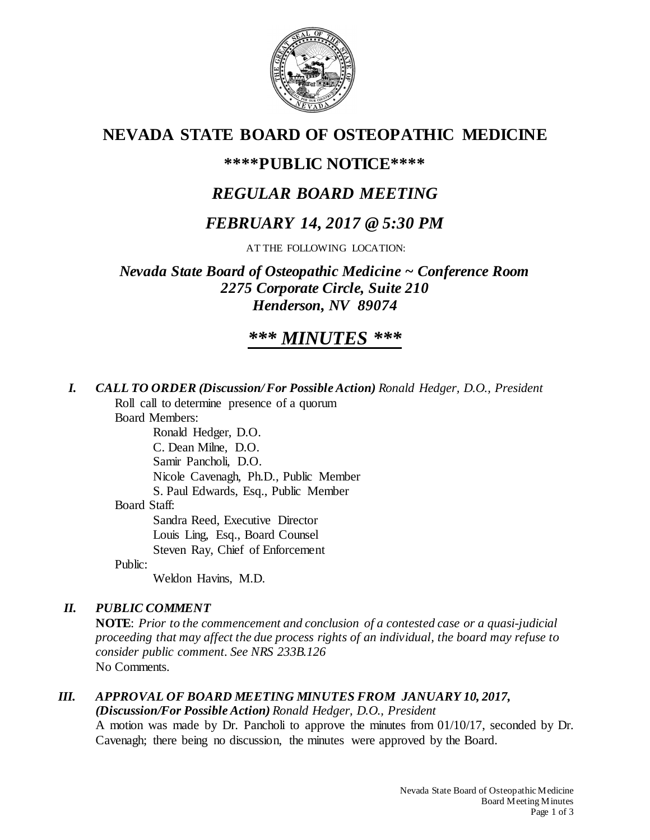

## **NEVADA STATE BOARD OF OSTEOPATHIC MEDICINE**

## **\*\*\*\*PUBLIC NOTICE\*\*\*\***

## *REGULAR BOARD MEETING*

## *FEBRUARY 14, 2017 @ 5:30 PM*

AT THE FOLLOWING LOCATION:

*Nevada State Board of Osteopathic Medicine ~ Conference Room 2275 Corporate Circle, Suite 210 Henderson, NV 89074*

# *\*\*\* MINUTES \*\*\**

*I. CALL TO ORDER (Discussion/ For Possible Action) Ronald Hedger, D.O., President* Roll call to determine presence of a quorum Board Members: Ronald Hedger, D.O. C. Dean Milne, D.O. Samir Pancholi, D.O.

Nicole Cavenagh, Ph.D., Public Member S. Paul Edwards, Esq., Public Member

Board Staff:

Sandra Reed, Executive Director Louis Ling, Esq., Board Counsel Steven Ray, Chief of Enforcement

Public:

Weldon Havins, M.D.

### *II. PUBLIC COMMENT*

**NOTE**: *Prior to the commencement and conclusion of a contested case or a quasi-judicial proceeding that may affect the due process rights of an individual, the board may refuse to consider public comment. See NRS 233B.126* No Comments.

### *III. APPROVAL OF BOARD MEETING MINUTES FROM JANUARY 10, 2017,*

*(Discussion/For Possible Action) Ronald Hedger, D.O., President* A motion was made by Dr. Pancholi to approve the minutes from 01/10/17, seconded by Dr. Cavenagh; there being no discussion, the minutes were approved by the Board.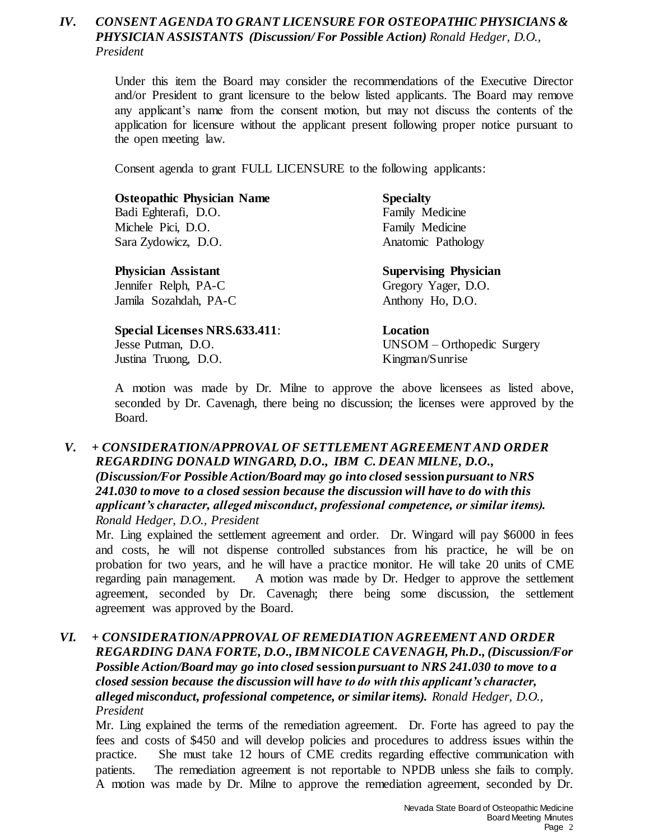#### *IV. CONSENT AGENDA TO GRANT LICENSURE FOR OSTEOPATHIC PHYSICIANS & PHYSICIAN ASSISTANTS (Discussion/ For Possible Action) Ronald Hedger, D.O., President*

Under this item the Board may consider the recommendations of the Executive Director and/or President to grant licensure to the below listed applicants. The Board may remove any applicant's name from the consent motion, but may not discuss the contents of the application for licensure without the applicant present following proper notice pursuant to the open meeting law.

Consent agenda to grant FULL LICENSURE to the following applicants:

| <b>Osteopathic Physician Name</b> | <b>Specialty</b>             |
|-----------------------------------|------------------------------|
| Badi Eghterafi, D.O.              | Family Medicine              |
| Michele Pici, D.O.                | Family Medicine              |
| Sara Zydowicz, D.O.               | Anatomic Pathology           |
| <b>Physician Assistant</b>        | <b>Supervising Physician</b> |

Jennifer Relph, PA-C Gregory Yager, D.O. Jamila Sozahdah, PA-C Anthony Ho, D.O.

**Special Licenses NRS.633.411**: **Location** Jesse Putman, D.O. UNSOM – Orthopedic Surgery Justina Truong, D.O. Kingman/Sunrise

A motion was made by Dr. Milne to approve the above licensees as listed above, seconded by Dr. Cavenagh, there being no discussion; the licenses were approved by the Board.

#### *V. + CONSIDERATION/APPROVAL OF SETTLEMENT AGREEMENT AND ORDER REGARDING DONALD WINGARD, D.O., IBM C. DEAN MILNE, D.O., (Discussion/For Possible Action/Board may go into closed* **session***pursuant to NRS 241.030 to move to a closed session because the discussion will have to do with this applicant's character, alleged misconduct, professional competence, or similar items). Ronald Hedger, D.O., President*

Mr. Ling explained the settlement agreement and order. Dr. Wingard will pay \$6000 in fees and costs, he will not dispense controlled substances from his practice, he will be on probation for two years, and he will have a practice monitor. He will take 20 units of CME regarding pain management. A motion was made by Dr. Hedger to approve the settlement agreement, seconded by Dr. Cavenagh; there being some discussion, the settlement agreement was approved by the Board.

#### *VI. + CONSIDERATION/APPROVAL OF REMEDIATION AGREEMENT AND ORDER REGARDING DANA FORTE, D.O.,IBM NICOLE CAVENAGH, Ph.D., (Discussion/For Possible Action/Board may go into closed* **session***pursuant to NRS 241.030 to move to a closed session because the discussion will have to do with this applicant's character, alleged misconduct, professional competence, or similar items). Ronald Hedger, D.O., President*

Mr. Ling explained the terms of the remediation agreement. Dr. Forte has agreed to pay the fees and costs of \$450 and will develop policies and procedures to address issues within the practice. She must take 12 hours of CME credits regarding effective communication with patients. The remediation agreement is not reportable to NPDB unless she fails to comply. A motion was made by Dr. Milne to approve the remediation agreement, seconded by Dr.